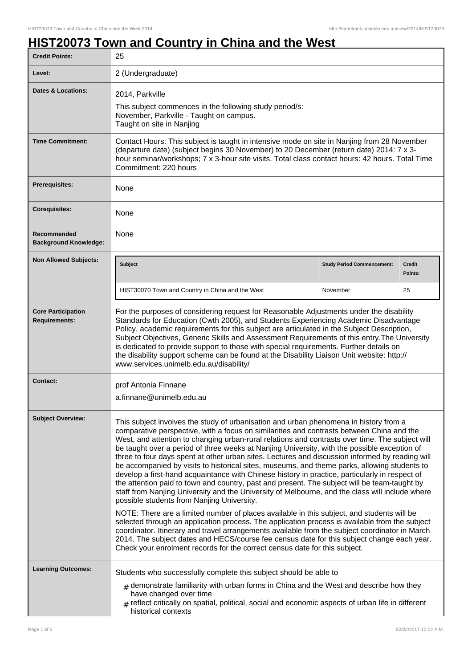## **HIST20073 Town and Country in China and the West**

| <b>Credit Points:</b>                             | 25                                                                                                                                                                                                                                                                                                                                                                                                                                                                                                                                                                                                                                                                                                                                                                                                                                                                                                                                          |                                   |                          |
|---------------------------------------------------|---------------------------------------------------------------------------------------------------------------------------------------------------------------------------------------------------------------------------------------------------------------------------------------------------------------------------------------------------------------------------------------------------------------------------------------------------------------------------------------------------------------------------------------------------------------------------------------------------------------------------------------------------------------------------------------------------------------------------------------------------------------------------------------------------------------------------------------------------------------------------------------------------------------------------------------------|-----------------------------------|--------------------------|
| Level:                                            | 2 (Undergraduate)                                                                                                                                                                                                                                                                                                                                                                                                                                                                                                                                                                                                                                                                                                                                                                                                                                                                                                                           |                                   |                          |
| Dates & Locations:                                | 2014, Parkville<br>This subject commences in the following study period/s:<br>November, Parkville - Taught on campus.<br>Taught on site in Nanjing                                                                                                                                                                                                                                                                                                                                                                                                                                                                                                                                                                                                                                                                                                                                                                                          |                                   |                          |
| <b>Time Commitment:</b>                           | Contact Hours: This subject is taught in intensive mode on site in Nanjing from 28 November<br>(departure date) (subject begins 30 November) to 20 December (return date) 2014: 7 x 3-<br>hour seminar/workshops; 7 x 3-hour site visits. Total class contact hours: 42 hours. Total Time<br>Commitment: 220 hours                                                                                                                                                                                                                                                                                                                                                                                                                                                                                                                                                                                                                          |                                   |                          |
| Prerequisites:                                    | None                                                                                                                                                                                                                                                                                                                                                                                                                                                                                                                                                                                                                                                                                                                                                                                                                                                                                                                                        |                                   |                          |
| <b>Corequisites:</b>                              | None                                                                                                                                                                                                                                                                                                                                                                                                                                                                                                                                                                                                                                                                                                                                                                                                                                                                                                                                        |                                   |                          |
| Recommended<br><b>Background Knowledge:</b>       | None                                                                                                                                                                                                                                                                                                                                                                                                                                                                                                                                                                                                                                                                                                                                                                                                                                                                                                                                        |                                   |                          |
| <b>Non Allowed Subjects:</b>                      | <b>Subject</b>                                                                                                                                                                                                                                                                                                                                                                                                                                                                                                                                                                                                                                                                                                                                                                                                                                                                                                                              | <b>Study Period Commencement:</b> | <b>Credit</b><br>Points: |
|                                                   | HIST30070 Town and Country in China and the West                                                                                                                                                                                                                                                                                                                                                                                                                                                                                                                                                                                                                                                                                                                                                                                                                                                                                            | November                          | 25                       |
| <b>Core Participation</b><br><b>Requirements:</b> | For the purposes of considering request for Reasonable Adjustments under the disability<br>Standards for Education (Cwth 2005), and Students Experiencing Academic Disadvantage<br>Policy, academic requirements for this subject are articulated in the Subject Description,<br>Subject Objectives, Generic Skills and Assessment Requirements of this entry. The University<br>is dedicated to provide support to those with special requirements. Further details on<br>the disability support scheme can be found at the Disability Liaison Unit website: http://<br>www.services.unimelb.edu.au/disability/                                                                                                                                                                                                                                                                                                                            |                                   |                          |
| <b>Contact:</b>                                   | prof Antonia Finnane<br>a.finnane@unimelb.edu.au                                                                                                                                                                                                                                                                                                                                                                                                                                                                                                                                                                                                                                                                                                                                                                                                                                                                                            |                                   |                          |
| <b>Subject Overview:</b>                          | This subject involves the study of urbanisation and urban phenomena in history from a<br>comparative perspective, with a focus on similarities and contrasts between China and the<br>West, and attention to changing urban-rural relations and contrasts over time. The subject will<br>be taught over a period of three weeks at Nanjing University, with the possible exception of<br>three to four days spent at other urban sites. Lectures and discussion informed by reading will<br>be accompanied by visits to historical sites, museums, and theme parks, allowing students to<br>develop a first-hand acquaintance with Chinese history in practice, particularly in respect of<br>the attention paid to town and country, past and present. The subject will be team-taught by<br>staff from Nanjing University and the University of Melbourne, and the class will include where<br>possible students from Nanjing University. |                                   |                          |
|                                                   | NOTE: There are a limited number of places available in this subject, and students will be<br>selected through an application process. The application process is available from the subject<br>coordinator. Itinerary and travel arrangements available from the subject coordinator in March<br>2014. The subject dates and HECS/course fee census date for this subject change each year.<br>Check your enrolment records for the correct census date for this subject.                                                                                                                                                                                                                                                                                                                                                                                                                                                                  |                                   |                          |
| <b>Learning Outcomes:</b>                         | Students who successfully complete this subject should be able to<br>$_{\#}$ demonstrate familiarity with urban forms in China and the West and describe how they<br>have changed over time<br>$_{\text{\#}}$ reflect critically on spatial, political, social and economic aspects of urban life in different<br>historical contexts                                                                                                                                                                                                                                                                                                                                                                                                                                                                                                                                                                                                       |                                   |                          |